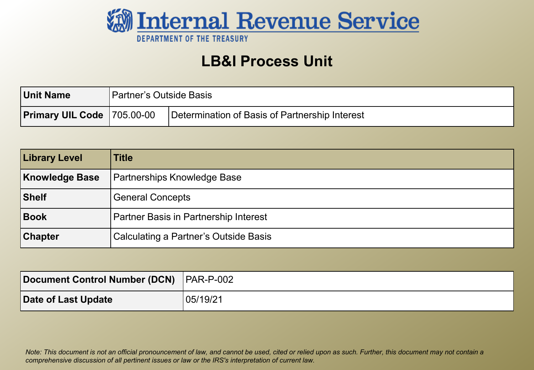

### **LB&I Process Unit**

| <b>Unit Name</b>                  | Partner's Outside Basis |                                                |
|-----------------------------------|-------------------------|------------------------------------------------|
| <b>Primary UIL Code 705.00-00</b> |                         | Determination of Basis of Partnership Interest |

| <b>Library Level</b>  | Title                                        |
|-----------------------|----------------------------------------------|
| <b>Knowledge Base</b> | <b>Partnerships Knowledge Base</b>           |
| Shelf                 | <b>General Concepts</b>                      |
| Book                  | Partner Basis in Partnership Interest        |
| <b>Chapter</b>        | <b>Calculating a Partner's Outside Basis</b> |

| Document Control Number (DCN) PAR-P-002 |          |
|-----------------------------------------|----------|
| Date of Last Update                     | 05/19/21 |

 *Note: This document is not an official pronouncement of law, and cannot be used, cited or relied upon as such. Further, this document may not contain a comprehensive discussion of all pertinent issues or law or the IRS's interpretation of current law.*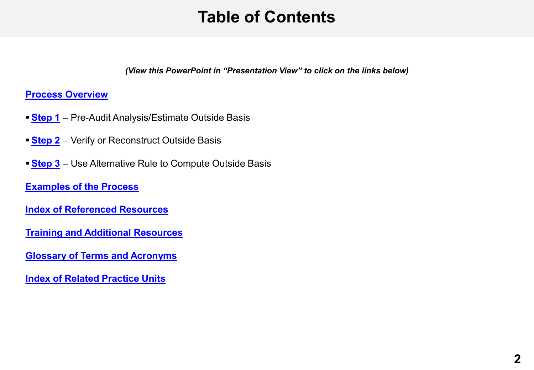## **Table of Contents**

*(View this PowerPoint in "Presentation View" to click on the links below)* 

#### <span id="page-1-0"></span>**Process Overview**

- **Step 1** Pre-Audit Analysis/Estimate Outside Basis
- **[Step 2](#page-18-0)**  Verify or Reconstruct Outside Basis
- **Step 3** Use Alternative Rule to Compute Outside Basis

 **[Examples of the Process](#page-21-0)** 

 **[Index of Referenced Resources](#page-29-0)** 

**[Training and Additional Resources](#page-31-0)** 

 **[Glossary of Terms and Acronyms](#page-32-0)** 

 **[Index of Related Practice Units](#page-33-0)**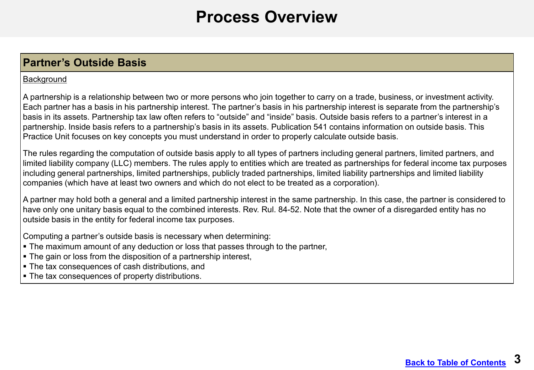### **Process Overview**

### <span id="page-2-0"></span>**Partner's Outside Basis**

#### **Background**

 A partnership is a relationship between two or more persons who join together to carry on a trade, business, or investment activity. Each partner has a basis in his partnership interest. The partner's basis in his partnership interest is separate from the partnership's basis in its assets. Partnership tax law often refers to "outside" and "inside" basis. Outside basis refers to a partner's interest in a partnership. Inside basis refers to a partnership's basis in its assets. Publication 541 contains information on outside basis. This Practice Unit focuses on key concepts you must understand in order to properly calculate outside basis.

 The rules regarding the computation of outside basis apply to all types of partners including general partners, limited partners, and limited liability company (LLC) members. The rules apply to entities which are treated as partnerships for federal income tax purposes including general partnerships, limited partnerships, publicly traded partnerships, limited liability partnerships and limited liability companies (which have at least two owners and which do not elect to be treated as a corporation).

 A partner may hold both a general and a limited partnership interest in the same partnership. In this case, the partner is considered to have only one unitary basis equal to the combined interests. Rev. Rul. 84-52. Note that the owner of a disregarded entity has no outside basis in the entity for federal income tax purposes.

Computing a partner's outside basis is necessary when determining:

- The maximum amount of any deduction or loss that passes through to the partner,
- The gain or loss from the disposition of a partnership interest,
- The tax consequences of cash distributions, and
- **The tax consequences of property distributions.**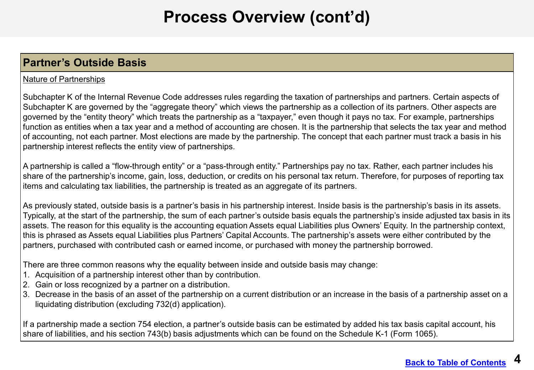### **Partner's Outside Basis**

#### Nature of Partnerships

 Subchapter K of the Internal Revenue Code addresses rules regarding the taxation of partnerships and partners. Certain aspects of Subchapter K are governed by the "aggregate theory" which views the partnership as a collection of its partners. Other aspects are governed by the "entity theory" which treats the partnership as a "taxpayer," even though it pays no tax. For example, partnerships function as entities when a tax year and a method of accounting are chosen. It is the partnership that selects the tax year and method of accounting, not each partner. Most elections are made by the partnership. The concept that each partner must track a basis in his partnership interest reflects the entity view of partnerships.

 A partnership is called a "flow-through entity" or a "pass-through entity." Partnerships pay no tax. Rather, each partner includes his share of the partnership's income, gain, loss, deduction, or credits on his personal tax return. Therefore, for purposes of reporting tax items and calculating tax liabilities, the partnership is treated as an aggregate of its partners.

 As previously stated, outside basis is a partner's basis in his partnership interest. Inside basis is the partnership's basis in its assets. Typically, at the start of the partnership, the sum of each partner's outside basis equals the partnership's inside adjusted tax basis in its assets. The reason for this equality is the accounting equation Assets equal Liabilities plus Owners' Equity. In the partnership context, this is phrased as Assets equal Liabilities plus Partners' Capital Accounts. The partnership's assets were either contributed by the partners, purchased with contributed cash or earned income, or purchased with money the partnership borrowed.

There are three common reasons why the equality between inside and outside basis may change:

- 1. Acquisition of a partnership interest other than by contribution.
- 2. Gain or loss recognized by a partner on a distribution.
- 3. Decrease in the basis of an asset of the partnership on a current distribution or an increase in the basis of a partnership asset on a liquidating distribution (excluding 732(d) application).

 If a partnership made a section 754 election, a partner's outside basis can be estimated by added his tax basis capital account, his share of liabilities, and his section 743(b) basis adjustments which can be found on the Schedule K-1 (Form 1065).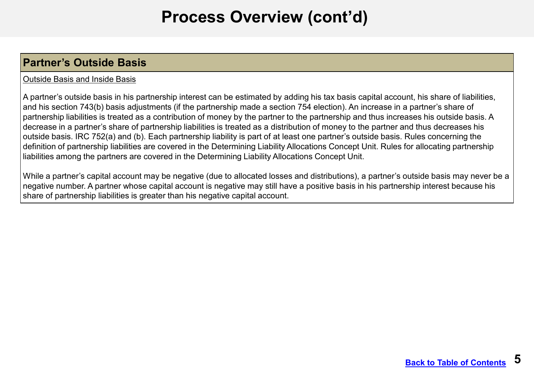### **Partner's Outside Basis**

#### Outside Basis and Inside Basis

A partner's outside basis in his partnership interest can be estimated by adding his tax basis capital account, his share of liabilities, and his section 743(b) basis adjustments (if the partnership made a section 754 election). An increase in a partner's share of partnership liabilities is treated as a contribution of money by the partner to the partnership and thus increases his outside basis. A decrease in a partner's share of partnership liabilities is treated as a distribution of money to the partner and thus decreases his outside basis. IRC 752(a) and (b). Each partnership liability is part of at least one partner's outside basis. Rules concerning the definition of partnership liabilities are covered in the Determining Liability Allocations Concept Unit. Rules for allocating partnership liabilities among the partners are covered in the Determining Liability Allocations Concept Unit.

 While a partner's capital account may be negative (due to allocated losses and distributions), a partner's outside basis may never be a negative number. A partner whose capital account is negative may still have a positive basis in his partnership interest because his share of partnership liabilities is greater than his negative capital account.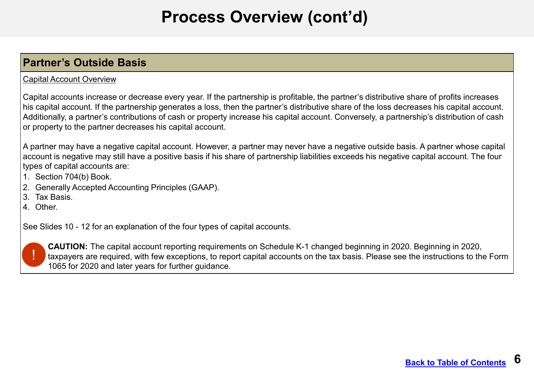### **Partner's Outside Basis**

#### Capital Account Overview

Capital accounts increase or decrease every year. If the partnership is profitable, the partner's distributive share of profits increases his capital account. If the partnership generates a loss, then the partner's distributive share of the loss decreases his capital account. Additionally, a partner's contributions of cash or property increase his capital account. Conversely, a partnership's distribution of cash or property to the partner decreases his capital account.

A partner may have a negative capital account. However, a partner may never have a negative outside basis. A partner whose capital account is negative may still have a positive basis if his share of partnership liabilities exceeds his negative capital account. The four types of capital accounts are:

- 1. Section 704(b) Book.
- 2. Generally Accepted Accounting Principles (GAAP).
- 3. Tax Basis.
- 4. Other.

See Slides 10 - 12 for an explanation of the four types of capital accounts.



**CAUTION:** The capital account reporting requirements on Schedule K-1 changed beginning in 2020. Beginning in 2020, taxpayers are required, with few exceptions, to report capital accounts on the tax basis. Please see the instructions to the Form 1065 for 2020 and later years for further guidance.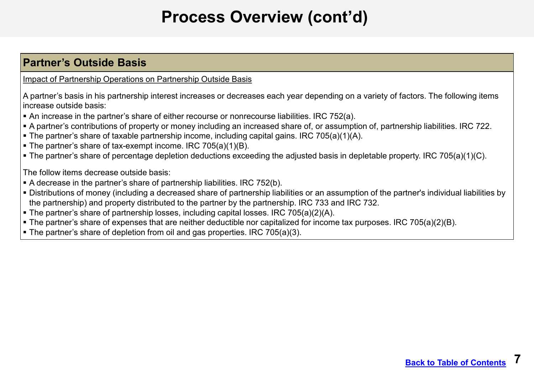### **Partner's Outside Basis**

Impact of Partnership Operations on Partnership Outside Basis

 A partner's basis in his partnership interest increases or decreases each year depending on a variety of factors. The following items increase outside basis:

- An increase in the partner's share of either recourse or nonrecourse liabilities. IRC 752(a).
- A partner's contributions of property or money including an increased share of, or assumption of, partnership liabilities. IRC 722.
- The partner's share of taxable partnership income, including capital gains. IRC 705(a)(1)(A).
- The partner's share of tax-exempt income. IRC 705(a)(1)(B).
- The partner's share of percentage depletion deductions exceeding the adjusted basis in depletable property. IRC 705(a)(1)(C).

The follow items decrease outside basis:

- A decrease in the partner's share of partnership liabilities. IRC 752(b).
- Distributions of money (including a decreased share of partnership liabilities or an assumption of the partner's individual liabilities by the partnership) and property distributed to the partner by the partnership. IRC 733 and IRC 732.
- The partner's share of partnership losses, including capital losses. IRC 705(a)(2)(A).
- The partner's share of expenses that are neither deductible nor capitalized for income tax purposes. IRC 705(a)(2)(B).
- The partner's share of depletion from oil and gas properties. IRC 705(a)(3).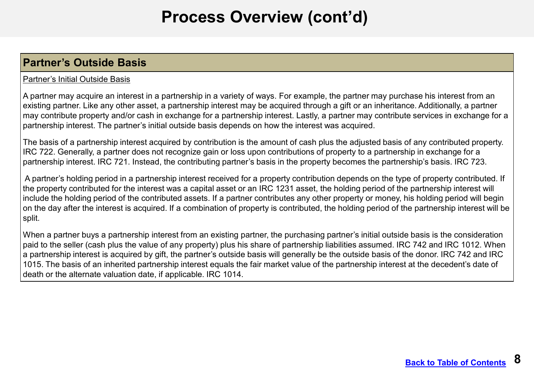#### **Partner's Outside Basis**

#### Partner's Initial Outside Basis

 A partner may acquire an interest in a partnership in a variety of ways. For example, the partner may purchase his interest from an existing partner. Like any other asset, a partnership interest may be acquired through a gift or an inheritance. Additionally, a partner may contribute property and/or cash in exchange for a partnership interest. Lastly, a partner may contribute services in exchange for a partnership interest. The partner's initial outside basis depends on how the interest was acquired.

 The basis of a partnership interest acquired by contribution is the amount of cash plus the adjusted basis of any contributed property. IRC 722. Generally, a partner does not recognize gain or loss upon contributions of property to a partnership in exchange for a partnership interest. IRC 721. Instead, the contributing partner's basis in the property becomes the partnership's basis. IRC 723.

 A partner's holding period in a partnership interest received for a property contribution depends on the type of property contributed. If the property contributed for the interest was a capital asset or an IRC 1231 asset, the holding period of the partnership interest will include the holding period of the contributed assets. If a partner contributes any other property or money, his holding period will begin on the day after the interest is acquired. If a combination of property is contributed, the holding period of the partnership interest will be split.

 When a partner buys a partnership interest from an existing partner, the purchasing partner's initial outside basis is the consideration paid to the seller (cash plus the value of any property) plus his share of partnership liabilities assumed. IRC 742 and IRC 1012. When a partnership interest is acquired by gift, the partner's outside basis will generally be the outside basis of the donor. IRC 742 and IRC 1015. The basis of an inherited partnership interest equals the fair market value of the partnership interest at the decedent's date of death or the alternate valuation date, if applicable. IRC 1014.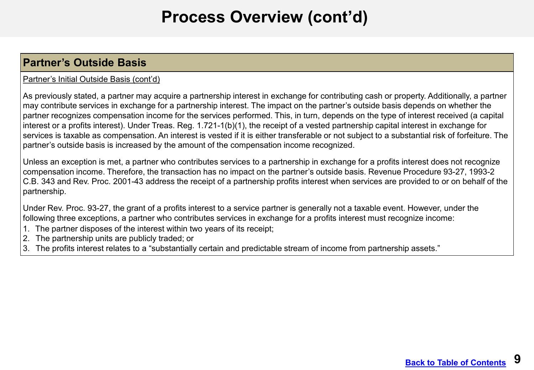### **Partner's Outside Basis**

#### Partner's Initial Outside Basis (cont'd)

As previously stated, a partner may acquire a partnership interest in exchange for contributing cash or property. Additionally, a partner may contribute services in exchange for a partnership interest. The impact on the partner's outside basis depends on whether the partner recognizes compensation income for the services performed. This, in turn, depends on the type of interest received (a capital interest or a profits interest). Under Treas. Reg. 1.721-1(b)(1), the receipt of a vested partnership capital interest in exchange for services is taxable as compensation. An interest is vested if it is either transferable or not subject to a substantial risk of forfeiture. The partner's outside basis is increased by the amount of the compensation income recognized.

Unless an exception is met, a partner who contributes services to a partnership in exchange for a profits interest does not recognize compensation income. Therefore, the transaction has no impact on the partner's outside basis. Revenue Procedure 93-27, 1993-2 C.B. 343 and Rev. Proc. 2001-43 address the receipt of a partnership profits interest when services are provided to or on behalf of the partnership.

Under Rev. Proc. 93-27, the grant of a profits interest to a service partner is generally not a taxable event. However, under the following three exceptions, a partner who contributes services in exchange for a profits interest must recognize income:

- 1. The partner disposes of the interest within two years of its receipt;
- 2. The partnership units are publicly traded; or
- 3. The profits interest relates to a "substantially certain and predictable stream of income from partnership assets."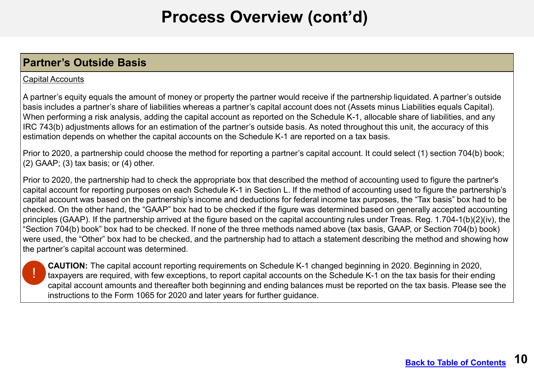### **Partner's Outside Basis**

#### Capital Accounts

A partner's equity equals the amount of money or property the partner would receive if the partnership liquidated. A partner's outside basis includes a partner's share of liabilities whereas a partner's capital account does not (Assets minus Liabilities equals Capital). When performing a risk analysis, adding the capital account as reported on the Schedule K-1, allocable share of liabilities, and any IRC 743(b) adjustments allows for an estimation of the partner's outside basis. As noted throughout this unit, the accuracy of this estimation depends on whether the capital accounts on the Schedule K-1 are reported on a tax basis.

Prior to 2020, a partnership could choose the method for reporting a partner's capital account. It could select (1) section 704(b) book;  $(2)$  GAAP;  $(3)$  tax basis; or  $(4)$  other.

Prior to 2020, the partnership had to check the appropriate box that described the method of accounting used to figure the partner's capital account for reporting purposes on each Schedule K-1 in Section L. If the method of accounting used to figure the partnership's capital account was based on the partnership's income and deductions for federal income tax purposes, the "Tax basis" box had to be checked. On the other hand, the "GAAP" box had to be checked if the figure was determined based on generally accepted accounting principles (GAAP). If the partnership arrived at the figure based on the capital accounting rules under Treas. Reg. 1.704-1(b)(2)(iv), the "Section 704(b) book" box had to be checked. If none of the three methods named above (tax basis, GAAP, or Section 704(b) book) were used, the "Other" box had to be checked, and the partnership had to attach a statement describing the method and showing how the partner's capital account was determined.



**CAUTION:** The capital account reporting requirements on Schedule K-1 changed beginning in 2020. Beginning in 2020, taxpayers are required, with few exceptions, to report capital accounts on the Schedule K-1 on the tax basis for their ending capital account amounts and thereafter both beginning and ending balances must be reported on the tax basis. Please see the instructions to the Form 1065 for 2020 and later years for further guidance.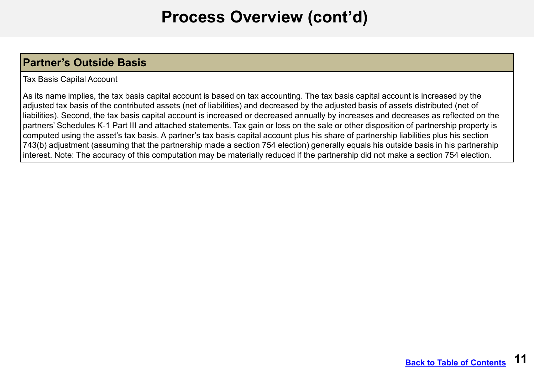### **Partner's Outside Basis**

#### Tax Basis Capital Account

 As its name implies, the tax basis capital account is based on tax accounting. The tax basis capital account is increased by the adjusted tax basis of the contributed assets (net of liabilities) and decreased by the adjusted basis of assets distributed (net of liabilities). Second, the tax basis capital account is increased or decreased annually by increases and decreases as reflected on the partners' Schedules K-1 Part III and attached statements. Tax gain or loss on the sale or other disposition of partnership property is computed using the asset's tax basis. A partner's tax basis capital account plus his share of partnership liabilities plus his section 743(b) adjustment (assuming that the partnership made a section 754 election) generally equals his outside basis in his partnership interest. Note: The accuracy of this computation may be materially reduced if the partnership did not make a section 754 election.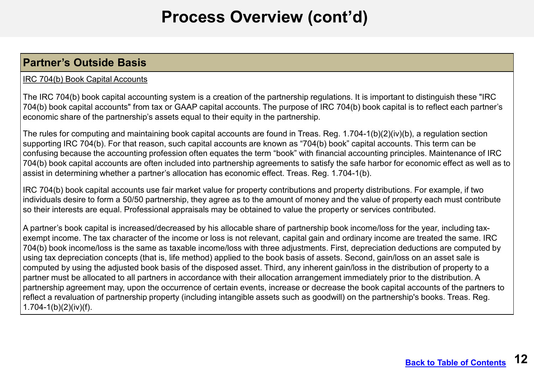### **Partner's Outside Basis**

#### IRC 704(b) Book Capital Accounts

The IRC 704(b) book capital accounting system is a creation of the partnership regulations. It is important to distinguish these "IRC 704(b) book capital accounts" from tax or GAAP capital accounts. The purpose of IRC 704(b) book capital is to reflect each partner's economic share of the partnership's assets equal to their equity in the partnership.

The rules for computing and maintaining book capital accounts are found in Treas. Reg. 1.704-1(b)(2)(iv)(b), a regulation section supporting IRC 704(b). For that reason, such capital accounts are known as "704(b) book" capital accounts. This term can be confusing because the accounting profession often equates the term "book" with financial accounting principles. Maintenance of IRC 704(b) book capital accounts are often included into partnership agreements to satisfy the safe harbor for economic effect as well as to assist in determining whether a partner's allocation has economic effect. Treas. Reg. 1.704-1(b).

IRC 704(b) book capital accounts use fair market value for property contributions and property distributions. For example, if two individuals desire to form a 50/50 partnership, they agree as to the amount of money and the value of property each must contribute so their interests are equal. Professional appraisals may be obtained to value the property or services contributed.

 A partner's book capital is increased/decreased by his allocable share of partnership book income/loss for the year, including tax- exempt income. The tax character of the income or loss is not relevant, capital gain and ordinary income are treated the same. IRC 704(b) book income/loss is the same as taxable income/loss with three adjustments. First, depreciation deductions are computed by using tax depreciation concepts (that is, life method) applied to the book basis of assets. Second, gain/loss on an asset sale is computed by using the adjusted book basis of the disposed asset. Third, any inherent gain/loss in the distribution of property to a partner must be allocated to all partners in accordance with their allocation arrangement immediately prior to the distribution. A partnership agreement may, upon the occurrence of certain events, increase or decrease the book capital accounts of the partners to reflect a revaluation of partnership property (including intangible assets such as goodwill) on the partnership's books. Treas. Reg. 1.704-1(b)(2)(iv)(f).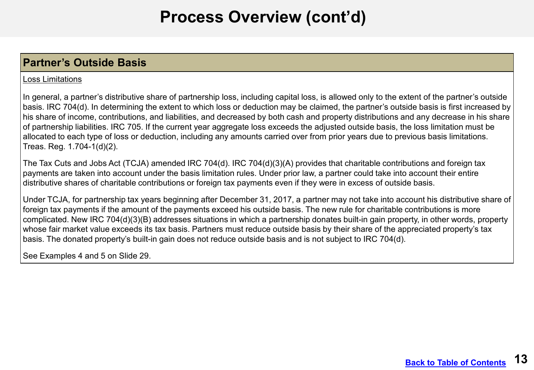### **Partner's Outside Basis**

#### Loss Limitations

 In general, a partner's distributive share of partnership loss, including capital loss, is allowed only to the extent of the partner's outside basis. IRC 704(d). In determining the extent to which loss or deduction may be claimed, the partner's outside basis is first increased by his share of income, contributions, and liabilities, and decreased by both cash and property distributions and any decrease in his share of partnership liabilities. IRC 705. If the current year aggregate loss exceeds the adjusted outside basis, the loss limitation must be allocated to each type of loss or deduction, including any amounts carried over from prior years due to previous basis limitations. Treas. Reg. 1.704-1(d)(2).

 The Tax Cuts and Jobs Act (TCJA) amended IRC 704(d). IRC 704(d)(3)(A) provides that charitable contributions and foreign tax payments are taken into account under the basis limitation rules. Under prior law, a partner could take into account their entire distributive shares of charitable contributions or foreign tax payments even if they were in excess of outside basis.

 Under TCJA, for partnership tax years beginning after December 31, 2017, a partner may not take into account his distributive share of foreign tax payments if the amount of the payments exceed his outside basis. The new rule for charitable contributions is more complicated. New IRC 704(d)(3)(B) addresses situations in which a partnership donates built-in gain property, in other words, property whose fair market value exceeds its tax basis. Partners must reduce outside basis by their share of the appreciated property's tax basis. The donated property's built-in gain does not reduce outside basis and is not subject to IRC 704(d).

See Examples 4 and 5 on Slide 29.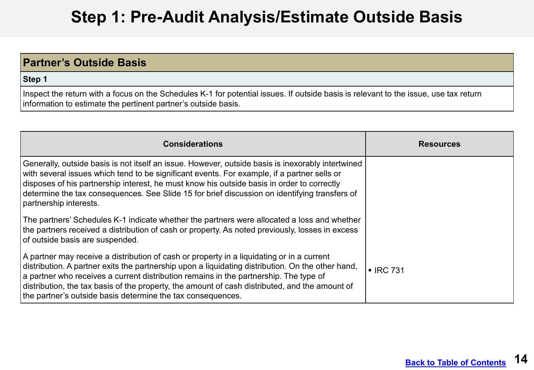# **Step 1: Pre-Audit Analysis/Estimate Outside Basis**

### <span id="page-13-0"></span>**Partner's Outside Basis**

**Step 1** 

 Inspect the return with a focus on the Schedules K-1 for potential issues. If outside basis is relevant to the issue, use tax return information to estimate the pertinent partner's outside basis.

| <b>Considerations</b>                                                                                                                                                                                                                                                                                                                                                                                                                                    | <b>Resources</b>       |
|----------------------------------------------------------------------------------------------------------------------------------------------------------------------------------------------------------------------------------------------------------------------------------------------------------------------------------------------------------------------------------------------------------------------------------------------------------|------------------------|
| Generally, outside basis is not itself an issue. However, outside basis is inexorably intertwined<br>$ $ with several issues which tend to be significant events. For example, if a partner sells or<br>disposes of his partnership interest, he must know his outside basis in order to correctly<br>determine the tax consequences. See Slide 15 for brief discussion on identifying transfers of<br>partnership interests.                            |                        |
| The partners' Schedules K-1 indicate whether the partners were allocated a loss and whether<br>the partners received a distribution of cash or property. As noted previously, losses in excess<br>of outside basis are suspended.                                                                                                                                                                                                                        |                        |
| A partner may receive a distribution of cash or property in a liquidating or in a current<br>distribution. A partner exits the partnership upon a liquidating distribution. On the other hand,<br>a partner who receives a current distribution remains in the partnership. The type of<br>distribution, the tax basis of the property, the amount of cash distributed, and the amount of<br>the partner's outside basis determine the tax consequences. | $\blacksquare$ IRC 731 |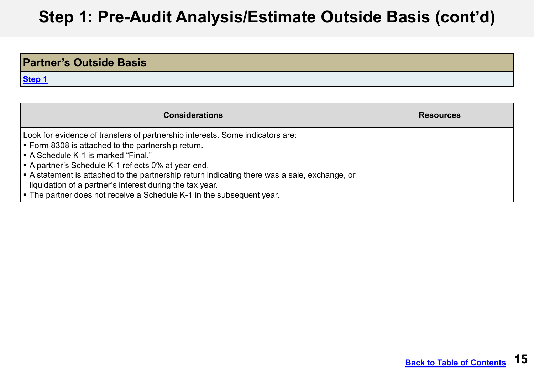| <b>Partner's Outside Basis</b> |  |
|--------------------------------|--|
| Step 1                         |  |

| <b>Considerations</b>                                                                                                                                                                                                                                                                                                                                                                                                                                                                                       | <b>Resources</b> |
|-------------------------------------------------------------------------------------------------------------------------------------------------------------------------------------------------------------------------------------------------------------------------------------------------------------------------------------------------------------------------------------------------------------------------------------------------------------------------------------------------------------|------------------|
| Look for evidence of transfers of partnership interests. Some indicators are:<br>$\blacktriangleright$ Form 8308 is attached to the partnership return.<br>l ■ A Schedule K-1 is marked "Final."<br>A partner's Schedule K-1 reflects 0% at year end.<br>$\vert$ = A statement is attached to the partnership return indicating there was a sale, exchange, or<br>liquidation of a partner's interest during the tax year.<br>$\vert$ = The partner does not receive a Schedule K-1 in the subsequent year. |                  |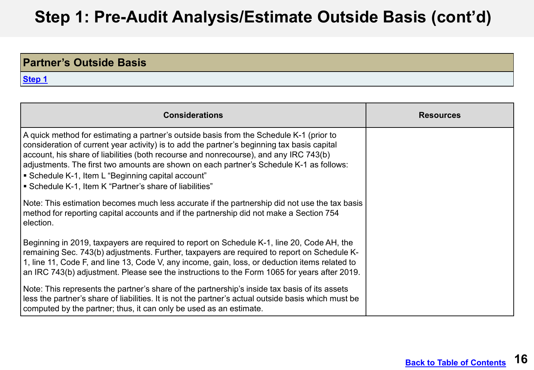| <b>Partner's Outside Basis</b> |  |
|--------------------------------|--|
| <b>Step 1</b>                  |  |

| <b>Considerations</b>                                                                                                                                                                                                                                                                                                                                                                                                                                                                       | <b>Resources</b> |
|---------------------------------------------------------------------------------------------------------------------------------------------------------------------------------------------------------------------------------------------------------------------------------------------------------------------------------------------------------------------------------------------------------------------------------------------------------------------------------------------|------------------|
| A quick method for estimating a partner's outside basis from the Schedule K-1 (prior to<br>consideration of current year activity) is to add the partner's beginning tax basis capital<br>account, his share of liabilities (both recourse and nonrecourse), and any IRC 743(b)<br>adjustments. The first two amounts are shown on each partner's Schedule K-1 as follows:<br>■ Schedule K-1, Item L "Beginning capital account"<br>■ Schedule K-1, Item K "Partner's share of liabilities" |                  |
| Note: This estimation becomes much less accurate if the partnership did not use the tax basis<br>method for reporting capital accounts and if the partnership did not make a Section 754<br>election.                                                                                                                                                                                                                                                                                       |                  |
| Beginning in 2019, taxpayers are required to report on Schedule K-1, line 20, Code AH, the<br>remaining Sec. 743(b) adjustments. Further, taxpayers are required to report on Schedule K-<br>1, line 11, Code F, and line 13, Code V, any income, gain, loss, or deduction items related to<br>an IRC 743(b) adjustment. Please see the instructions to the Form 1065 for years after 2019.                                                                                                 |                  |
| Note: This represents the partner's share of the partnership's inside tax basis of its assets<br>less the partner's share of liabilities. It is not the partner's actual outside basis which must be<br>computed by the partner; thus, it can only be used as an estimate.                                                                                                                                                                                                                  |                  |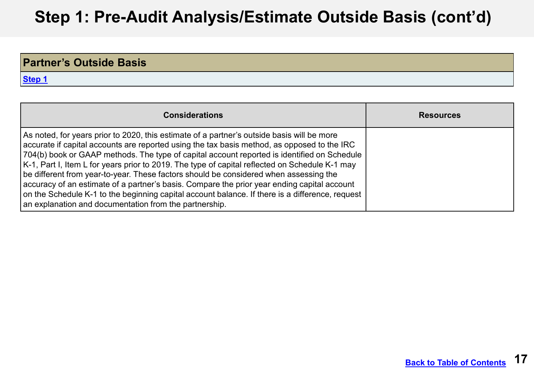| <b>Partner's Outside Basis</b> |  |
|--------------------------------|--|
| <b>Step 1</b>                  |  |

| <b>Considerations</b>                                                                                                                                                                                                                                                                                                                                                                                                                                                                                                                                                                                                                                                                                                                                  | <b>Resources</b> |
|--------------------------------------------------------------------------------------------------------------------------------------------------------------------------------------------------------------------------------------------------------------------------------------------------------------------------------------------------------------------------------------------------------------------------------------------------------------------------------------------------------------------------------------------------------------------------------------------------------------------------------------------------------------------------------------------------------------------------------------------------------|------------------|
| As noted, for years prior to 2020, this estimate of a partner's outside basis will be more<br>$\mid$ accurate if capital accounts are reported using the tax basis method, as opposed to the IRC<br>704(b) book or GAAP methods. The type of capital account reported is identified on Schedule<br>K-1, Part I, Item L for years prior to 2019. The type of capital reflected on Schedule K-1 may<br>be different from year-to-year. These factors should be considered when assessing the<br>accuracy of an estimate of a partner's basis. Compare the prior year ending capital account<br>on the Schedule K-1 to the beginning capital account balance. If there is a difference, request<br>an explanation and documentation from the partnership. |                  |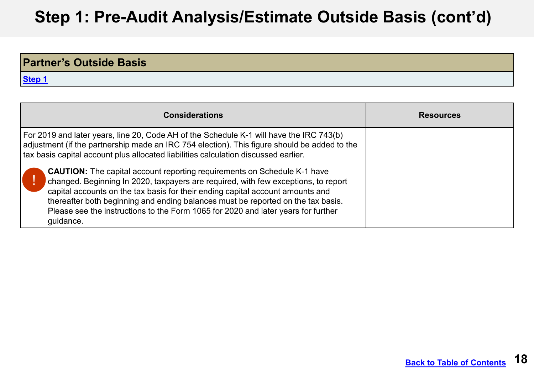| <b>Partner's Outside Basis</b> |  |
|--------------------------------|--|
| Step 1                         |  |

| <b>Considerations</b>                                                                                                                                                                                                                                                                                                                                                                                                                                                                                                                                                                                                                                                                                                           | <b>Resources</b> |
|---------------------------------------------------------------------------------------------------------------------------------------------------------------------------------------------------------------------------------------------------------------------------------------------------------------------------------------------------------------------------------------------------------------------------------------------------------------------------------------------------------------------------------------------------------------------------------------------------------------------------------------------------------------------------------------------------------------------------------|------------------|
| For 2019 and later years, line 20, Code AH of the Schedule K-1 will have the IRC 743(b)<br>adjustment (if the partnership made an IRC 754 election). This figure should be added to the<br>tax basis capital account plus allocated liabilities calculation discussed earlier.<br><b>CAUTION:</b> The capital account reporting requirements on Schedule K-1 have<br>changed. Beginning In 2020, taxpayers are required, with few exceptions, to report<br>capital accounts on the tax basis for their ending capital account amounts and<br>thereafter both beginning and ending balances must be reported on the tax basis.<br>Please see the instructions to the Form 1065 for 2020 and later years for further<br>guidance. |                  |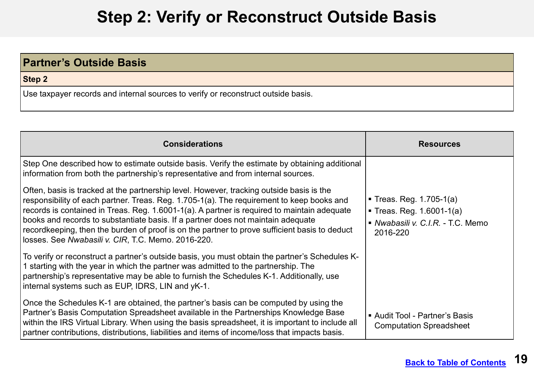## **Step 2: Verify or Reconstruct Outside Basis**

<span id="page-18-0"></span>

| <b>Partner's Outside Basis</b>                                                    |
|-----------------------------------------------------------------------------------|
| Step 2                                                                            |
| Use taxpayer records and internal sources to verify or reconstruct outside basis. |

| <b>Considerations</b>                                                                                                                                                                                                                                                                                                                                                                                                                                                                                                           | <b>Resources</b>                                                                                         |
|---------------------------------------------------------------------------------------------------------------------------------------------------------------------------------------------------------------------------------------------------------------------------------------------------------------------------------------------------------------------------------------------------------------------------------------------------------------------------------------------------------------------------------|----------------------------------------------------------------------------------------------------------|
| Step One described how to estimate outside basis. Verify the estimate by obtaining additional<br>information from both the partnership's representative and from internal sources.                                                                                                                                                                                                                                                                                                                                              |                                                                                                          |
| Often, basis is tracked at the partnership level. However, tracking outside basis is the<br>responsibility of each partner. Treas. Reg. 1.705-1(a). The requirement to keep books and<br>records is contained in Treas. Reg. 1.6001-1(a). A partner is required to maintain adequate<br>books and records to substantiate basis. If a partner does not maintain adequate<br>recordkeeping, then the burden of proof is on the partner to prove sufficient basis to deduct<br>losses. See Nwabasili v. CIR, T.C. Memo. 2016-220. | ■ Treas. Reg. $1.705-1(a)$<br>• Treas. Reg. $1.6001-1(a)$<br>Nwabasili v. C.I.R. - T.C. Memo<br>2016-220 |
| To verify or reconstruct a partner's outside basis, you must obtain the partner's Schedules K-<br>1 starting with the year in which the partner was admitted to the partnership. The<br>partnership's representative may be able to furnish the Schedules K-1. Additionally, use<br>internal systems such as EUP, IDRS, LIN and yK-1.                                                                                                                                                                                           |                                                                                                          |
| Once the Schedules K-1 are obtained, the partner's basis can be computed by using the<br>Partner's Basis Computation Spreadsheet available in the Partnerships Knowledge Base<br>within the IRS Virtual Library. When using the basis spreadsheet, it is important to include all<br>partner contributions, distributions, liabilities and items of income/loss that impacts basis.                                                                                                                                             | ■ Audit Tool - Partner's Basis<br><b>Computation Spreadsheet</b>                                         |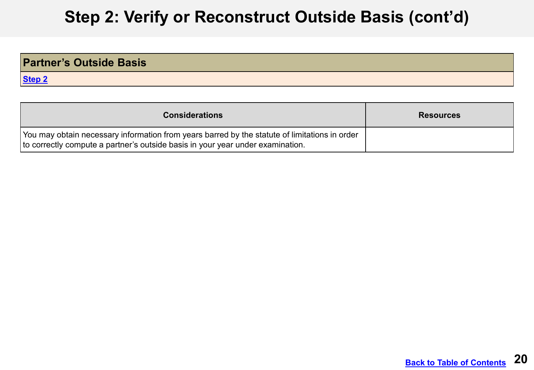# **Step 2: Verify or Reconstruct Outside Basis (cont'd)**

| <b>Partner's Outside Basis</b> |  |
|--------------------------------|--|
| Step 2                         |  |

| <b>Considerations</b>                                                                                                                                                           | <b>Resources</b> |
|---------------------------------------------------------------------------------------------------------------------------------------------------------------------------------|------------------|
| You may obtain necessary information from years barred by the statute of limitations in order<br>to correctly compute a partner's outside basis in your year under examination. |                  |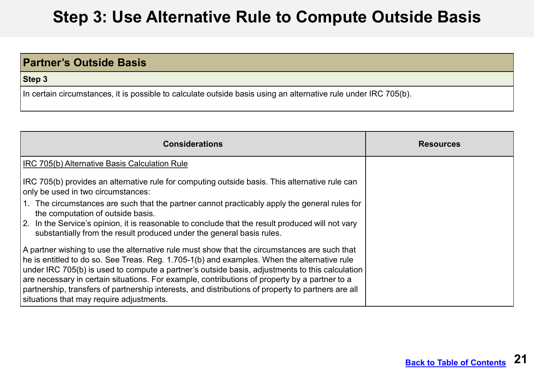#### <span id="page-20-0"></span>**DRAFT Step 3: Use Alternative Rule to Compute Outside Basis**

### **Partner's Outside Basis**

**Step 3** 

In certain circumstances, it is possible to calculate outside basis using an alternative rule under IRC 705(b).

| <b>Considerations</b>                                                                                                                                                                                                                                                                                                                                                                                                                                                                                                                                   | <b>Resources</b> |
|---------------------------------------------------------------------------------------------------------------------------------------------------------------------------------------------------------------------------------------------------------------------------------------------------------------------------------------------------------------------------------------------------------------------------------------------------------------------------------------------------------------------------------------------------------|------------------|
| IRC 705(b) Alternative Basis Calculation Rule                                                                                                                                                                                                                                                                                                                                                                                                                                                                                                           |                  |
| IRC 705(b) provides an alternative rule for computing outside basis. This alternative rule can<br>only be used in two circumstances:                                                                                                                                                                                                                                                                                                                                                                                                                    |                  |
| 1. The circumstances are such that the partner cannot practicably apply the general rules for<br>the computation of outside basis.<br>2. In the Service's opinion, it is reasonable to conclude that the result produced will not vary<br>substantially from the result produced under the general basis rules.                                                                                                                                                                                                                                         |                  |
| A partner wishing to use the alternative rule must show that the circumstances are such that<br>he is entitled to do so. See Treas. Reg. 1.705-1(b) and examples. When the alternative rule<br>under IRC 705(b) is used to compute a partner's outside basis, adjustments to this calculation<br>$\mid$ are necessary in certain situations. For example, contributions of property by a partner to a<br>partnership, transfers of partnership interests, and distributions of property to partners are all<br>situations that may require adjustments. |                  |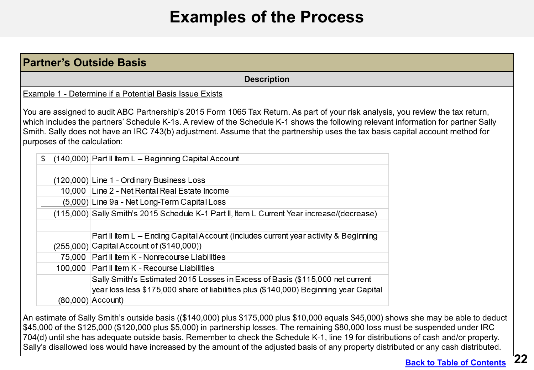## **Examples of the Process**

<span id="page-21-0"></span>

|                              | <b>Partner's Outside Basis</b>                                                                                                                                                                                                                                                                                                                                                                            |  |
|------------------------------|-----------------------------------------------------------------------------------------------------------------------------------------------------------------------------------------------------------------------------------------------------------------------------------------------------------------------------------------------------------------------------------------------------------|--|
|                              | <b>Description</b>                                                                                                                                                                                                                                                                                                                                                                                        |  |
|                              | Example 1 - Determine if a Potential Basis Issue Exists                                                                                                                                                                                                                                                                                                                                                   |  |
| purposes of the calculation: | You are assigned to audit ABC Partnership's 2015 Form 1065 Tax Return. As part of your risk analysis, you review the tax return,<br>which includes the partners' Schedule K-1s. A review of the Schedule K-1 shows the following relevant information for partner Sally<br>Smith. Sally does not have an IRC 743(b) adjustment. Assume that the partnership uses the tax basis capital account method for |  |
| \$                           | (140,000) Part II Item L - Beginning Capital Account                                                                                                                                                                                                                                                                                                                                                      |  |
|                              | (120,000) Line 1 - Ordinary Business Loss<br>10,000 Line 2 - Net Rental Real Estate Income                                                                                                                                                                                                                                                                                                                |  |
|                              | (5,000) Line 9a - Net Long-Term Capital Loss                                                                                                                                                                                                                                                                                                                                                              |  |
|                              | (115,000) Sally Smith's 2015 Schedule K-1 Part II, Item L Current Year increase/(decrease)                                                                                                                                                                                                                                                                                                                |  |
|                              | Part II Item L - Ending Capital Account (includes current year activity & Beginning<br>(255,000) Capital Account of (\$140,000))                                                                                                                                                                                                                                                                          |  |
|                              | 75,000 Part II Item K - Nonrecourse Liabilities                                                                                                                                                                                                                                                                                                                                                           |  |
|                              | 100,000 Part II Item K - Recourse Liabilities                                                                                                                                                                                                                                                                                                                                                             |  |
|                              | Sally Smith's Estimated 2015 Losses in Excess of Basis (\$115,000 net current<br>year loss less \$175,000 share of liabilities plus (\$140,000) Beginning year Capital<br>$(80,000)$ Account)                                                                                                                                                                                                             |  |

Sally's disallowed loss would have increased by the amount of the adjusted basis of any property distributed or any cash distributed.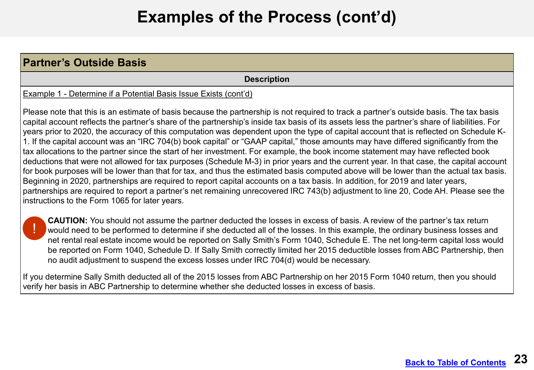#### **Partner's Outside Basis Description**  Example 1 - Determine if a Potential Basis Issue Exists (cont'd) Please note that this is an estimate of basis because the partnership is not required to track a partner's outside basis. The tax basis capital account reflects the partner's share of the partnership's inside tax basis of its assets less the partner's share of liabilities. For years prior to 2020, the accuracy of this computation was dependent upon the type of capital account that is reflected on Schedule K-1. If the capital account was an "IRC 704(b) book capital" or "GAAP capital," those amounts may have differed significantly from the tax allocations to the partner since the start of her investment. For example, the book income statement may have reflected book deductions that were not allowed for tax purposes (Schedule M-3) in prior years and the current year. In that case, the capital account for book purposes will be lower than that for tax, and thus the estimated basis computed above will be lower than the actual tax basis. Beginning in 2020, partnerships are required to report capital accounts on a tax basis. In addition, for 2019 and later years, partnerships are required to report a partner's net remaining unrecovered IRC 743(b) adjustment to line 20, Code AH. Please see the instructions to the Form 1065 for later years.

**CAUTION:** You should not assume the partner deducted the losses in excess of basis. A review of the partner's tax return would need to be performed to determine if she deducted all of the losses. In this example, the ordinary business losses and net rental real estate income would be reported on Sally Smith's Form 1040, Schedule E. The net long-term capital loss would be reported on Form 1040, Schedule D. If Sally Smith correctly limited her 2015 deductible losses from ABC Partnership, then no audit adjustment to suspend the excess losses under IRC 704(d) would be necessary. !

If you determine Sally Smith deducted all of the 2015 losses from ABC Partnership on her 2015 Form 1040 return, then you should verify her basis in ABC Partnership to determine whether she deducted losses in excess of basis.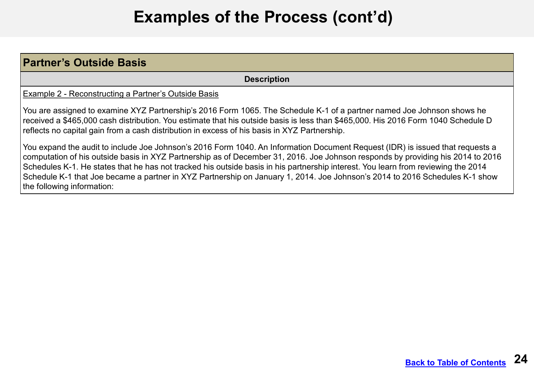| <b>Partner's Outside Basis</b>                                                                                                                                                                                                                                                                                                                                                                                                                                                                                                                                     |
|--------------------------------------------------------------------------------------------------------------------------------------------------------------------------------------------------------------------------------------------------------------------------------------------------------------------------------------------------------------------------------------------------------------------------------------------------------------------------------------------------------------------------------------------------------------------|
| <b>Description</b>                                                                                                                                                                                                                                                                                                                                                                                                                                                                                                                                                 |
| Example 2 - Reconstructing a Partner's Outside Basis                                                                                                                                                                                                                                                                                                                                                                                                                                                                                                               |
| You are assigned to examine XYZ Partnership's 2016 Form 1065. The Schedule K-1 of a partner named Joe Johnson shows he<br>received a \$465,000 cash distribution. You estimate that his outside basis is less than \$465,000. His 2016 Form 1040 Schedule D<br>reflects no capital gain from a cash distribution in excess of his basis in XYZ Partnership.                                                                                                                                                                                                        |
| You expand the audit to include Joe Johnson's 2016 Form 1040. An Information Document Request (IDR) is issued that requests a<br>computation of his outside basis in XYZ Partnership as of December 31, 2016. Joe Johnson responds by providing his 2014 to 2016<br>Schedules K-1. He states that he has not tracked his outside basis in his partnership interest. You learn from reviewing the 2014<br>Schedule K-1 that Joe became a partner in XYZ Partnership on January 1, 2014. Joe Johnson's 2014 to 2016 Schedules K-1 show<br>the following information: |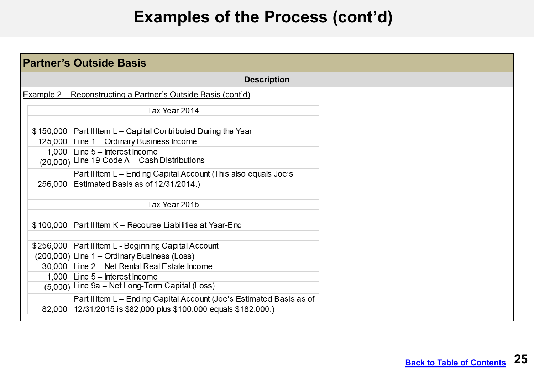| <b>Partner's Outside Basis</b>                                |                                                                      |  |  |
|---------------------------------------------------------------|----------------------------------------------------------------------|--|--|
|                                                               | <b>Description</b>                                                   |  |  |
| Example 2 – Reconstructing a Partner's Outside Basis (cont'd) |                                                                      |  |  |
|                                                               | Tax Year 2014                                                        |  |  |
|                                                               | \$150,000 Part II Item L - Capital Contributed During the Year       |  |  |
|                                                               | 125,000 Line 1 - Ordinary Business Income                            |  |  |
|                                                               | 1,000 Line 5 - Interest Income                                       |  |  |
|                                                               | (20,000) Line 19 Code A - Cash Distributions                         |  |  |
|                                                               | Part II Item L - Ending Capital Account (This also equals Joe's      |  |  |
|                                                               | 256,000 Estimated Basis as of 12/31/2014.)                           |  |  |
|                                                               | Tax Year 2015                                                        |  |  |
|                                                               | \$100,000 Part II Item K - Recourse Liabilities at Year-End          |  |  |
|                                                               | \$256,000 Part II Item L - Beginning Capital Account                 |  |  |
|                                                               | (200,000) Line 1 - Ordinary Business (Loss)                          |  |  |
|                                                               | 30,000 Line 2 - Net Rental Real Estate Income                        |  |  |
|                                                               | 1,000 Line 5 - Interest Income                                       |  |  |
|                                                               | (5,000) Line 9a - Net Long-Term Capital (Loss)                       |  |  |
|                                                               | Part II Item L - Ending Capital Account (Joe's Estimated Basis as of |  |  |
|                                                               | 82,000 12/31/2015 is \$82,000 plus \$100,000 equals \$182,000.)      |  |  |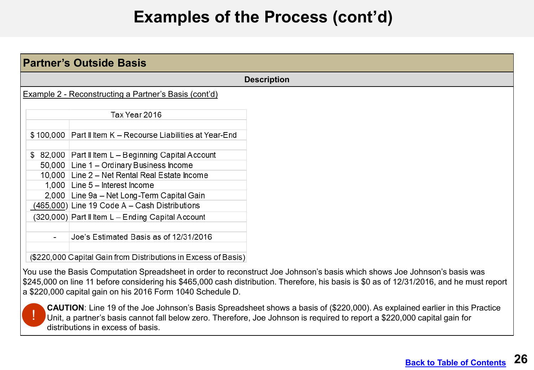| <b>Partner's Outside Basis</b> |                                                                                           |                    |  |
|--------------------------------|-------------------------------------------------------------------------------------------|--------------------|--|
|                                |                                                                                           | <b>Description</b> |  |
|                                | Example 2 - Reconstructing a Partner's Basis (cont'd)                                     |                    |  |
|                                | Tax Year 2016                                                                             |                    |  |
|                                | \$100,000 Part II Item K - Recourse Liabilities at Year-End                               |                    |  |
|                                | \$ 82,000 Part II Item L - Beginning Capital Account                                      |                    |  |
|                                | 50,000 Line 1 - Ordinary Business Income<br>10,000 Line 2 - Net Rental Real Estate Income |                    |  |
|                                | 1,000 Line $5$ – Interest Income<br>2,000 Line 9a - Net Long-Term Capital Gain            |                    |  |
|                                | (465,000) Line 19 Code A - Cash Distributions                                             |                    |  |
|                                | (320,000) Part II Item L - Ending Capital Account                                         |                    |  |
|                                | Joe's Estimated Basis as of 12/31/2016                                                    |                    |  |
|                                | (\$220,000 Capital Gain from Distributions in Excess of Basis)                            |                    |  |

You use the Basis Computation Spreadsheet in order to reconstruct Joe Johnson's basis which shows Joe Johnson's basis was \$245,000 on line 11 before considering his \$465,000 cash distribution. Therefore, his basis is \$0 as of 12/31/2016, and he must report a \$220,000 capital gain on his 2016 Form 1040 Schedule D.



**CAUTION**: Line 19 of the Joe Johnson's Basis Spreadsheet shows a basis of (\$220,000). As explained earlier in this Practice Unit, a partner's basis cannot fall below zero. Therefore, Joe Johnson is required to report a \$220,000 capital gain for distributions in excess of basis.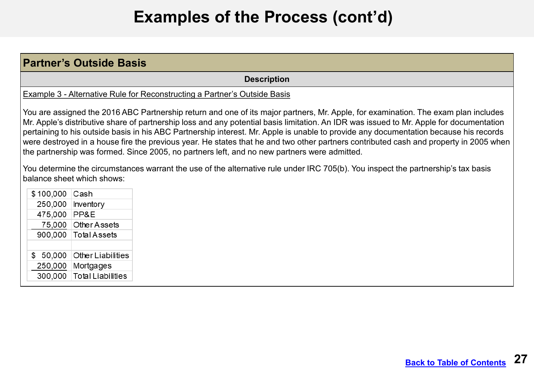| <b>Partner's Outside Basis</b>                                                                                                                                                                                                                                                                                                                                                                                                                                                                                                                                                                                                                                  |                                                                           |                    |  |
|-----------------------------------------------------------------------------------------------------------------------------------------------------------------------------------------------------------------------------------------------------------------------------------------------------------------------------------------------------------------------------------------------------------------------------------------------------------------------------------------------------------------------------------------------------------------------------------------------------------------------------------------------------------------|---------------------------------------------------------------------------|--------------------|--|
|                                                                                                                                                                                                                                                                                                                                                                                                                                                                                                                                                                                                                                                                 |                                                                           | <b>Description</b> |  |
|                                                                                                                                                                                                                                                                                                                                                                                                                                                                                                                                                                                                                                                                 | Example 3 - Alternative Rule for Reconstructing a Partner's Outside Basis |                    |  |
| You are assigned the 2016 ABC Partnership return and one of its major partners, Mr. Apple, for examination. The exam plan includes<br>Mr. Apple's distributive share of partnership loss and any potential basis limitation. An IDR was issued to Mr. Apple for documentation<br>pertaining to his outside basis in his ABC Partnership interest. Mr. Apple is unable to provide any documentation because his records<br>were destroyed in a house fire the previous year. He states that he and two other partners contributed cash and property in 2005 when<br>the partnership was formed. Since 2005, no partners left, and no new partners were admitted. |                                                                           |                    |  |
| You determine the circumstances warrant the use of the alternative rule under IRC 705(b). You inspect the partnership's tax basis<br>balance sheet which shows:                                                                                                                                                                                                                                                                                                                                                                                                                                                                                                 |                                                                           |                    |  |
| \$100,000 Cash                                                                                                                                                                                                                                                                                                                                                                                                                                                                                                                                                                                                                                                  |                                                                           |                    |  |
|                                                                                                                                                                                                                                                                                                                                                                                                                                                                                                                                                                                                                                                                 | 250,000   Inventory                                                       |                    |  |
| 475,000 PP&E                                                                                                                                                                                                                                                                                                                                                                                                                                                                                                                                                                                                                                                    |                                                                           |                    |  |
|                                                                                                                                                                                                                                                                                                                                                                                                                                                                                                                                                                                                                                                                 | 75,000 Other Assets                                                       |                    |  |
|                                                                                                                                                                                                                                                                                                                                                                                                                                                                                                                                                                                                                                                                 | 900,000 Total Assets                                                      |                    |  |
| 50,000<br>S<br>250,000                                                                                                                                                                                                                                                                                                                                                                                                                                                                                                                                                                                                                                          | <b>Other Liabilities</b><br>Mortgages                                     |                    |  |
| 300,000                                                                                                                                                                                                                                                                                                                                                                                                                                                                                                                                                                                                                                                         | <b>Total Liabilities</b>                                                  |                    |  |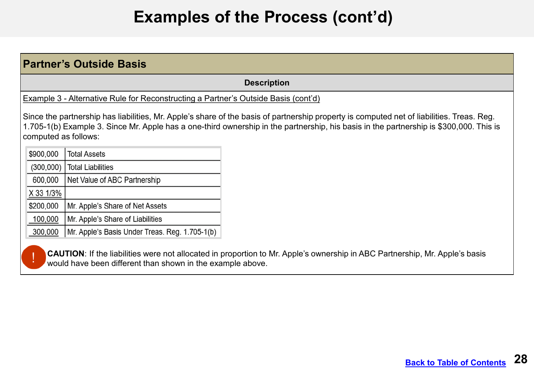| <b>Partner's Outside Basis</b>                                                     |                                                            |                                                                                                                                                                                                                                                                                     |  |
|------------------------------------------------------------------------------------|------------------------------------------------------------|-------------------------------------------------------------------------------------------------------------------------------------------------------------------------------------------------------------------------------------------------------------------------------------|--|
| <b>Description</b>                                                                 |                                                            |                                                                                                                                                                                                                                                                                     |  |
| Example 3 - Alternative Rule for Reconstructing a Partner's Outside Basis (cont'd) |                                                            |                                                                                                                                                                                                                                                                                     |  |
| computed as follows:                                                               |                                                            | Since the partnership has liabilities, Mr. Apple's share of the basis of partnership property is computed net of liabilities. Treas. Reg.<br>1.705-1(b) Example 3. Since Mr. Apple has a one-third ownership in the partnership, his basis in the partnership is \$300,000. This is |  |
| \$900,000                                                                          | <b>Total Assets</b>                                        |                                                                                                                                                                                                                                                                                     |  |
| (300,000)                                                                          | <b>Total Liabilities</b>                                   |                                                                                                                                                                                                                                                                                     |  |
| 600,000                                                                            | Net Value of ABC Partnership                               |                                                                                                                                                                                                                                                                                     |  |
| X 33 1/3%                                                                          |                                                            |                                                                                                                                                                                                                                                                                     |  |
| \$200,000                                                                          | Mr. Apple's Share of Net Assets                            |                                                                                                                                                                                                                                                                                     |  |
| 100,000                                                                            | Mr. Apple's Share of Liabilities                           |                                                                                                                                                                                                                                                                                     |  |
| 300,000                                                                            | Mr. Apple's Basis Under Treas. Reg. 1.705-1(b)             |                                                                                                                                                                                                                                                                                     |  |
|                                                                                    | would have been different than shown in the example above. | <b>CAUTION:</b> If the liabilities were not allocated in proportion to Mr. Apple's ownership in ABC Partnership, Mr. Apple's basis                                                                                                                                                  |  |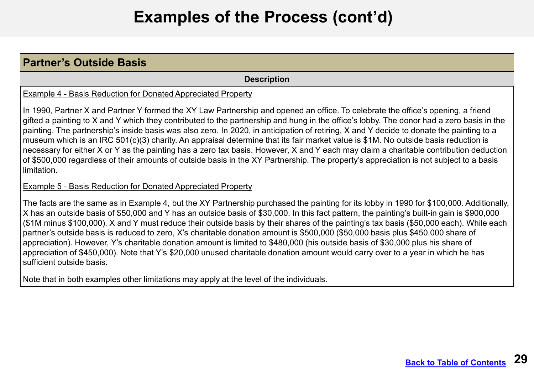#### **Partner's Outside Basis**

**Description** 

Example 4 - Basis Reduction for Donated Appreciated Property

In 1990, Partner X and Partner Y formed the XY Law Partnership and opened an office. To celebrate the office's opening, a friend gifted a painting to X and Y which they contributed to the partnership and hung in the office's lobby. The donor had a zero basis in the painting. The partnership's inside basis was also zero. In 2020, in anticipation of retiring, X and Y decide to donate the painting to a museum which is an IRC 501(c)(3) charity. An appraisal determine that its fair market value is \$1M. No outside basis reduction is necessary for either X or Y as the painting has a zero tax basis. However, X and Y each may claim a charitable contribution deduction of \$500,000 regardless of their amounts of outside basis in the XY Partnership. The property's appreciation is not subject to a basis limitation.

#### Example 5 - Basis Reduction for Donated Appreciated Property

The facts are the same as in Example 4, but the XY Partnership purchased the painting for its lobby in 1990 for \$100,000. Additionally, X has an outside basis of \$50,000 and Y has an outside basis of \$30,000. In this fact pattern, the painting's built-in gain is \$900,000 (\$1M minus \$100,000). X and Y must reduce their outside basis by their shares of the painting's tax basis (\$50,000 each). While each partner's outside basis is reduced to zero, X's charitable donation amount is \$500,000 (\$50,000 basis plus \$450,000 share of appreciation). However, Y's charitable donation amount is limited to \$480,000 (his outside basis of \$30,000 plus his share of appreciation of \$450,000). Note that Y's \$20,000 unused charitable donation amount would carry over to a year in which he has sufficient outside basis.

Note that in both examples other limitations may apply at the level of the individuals.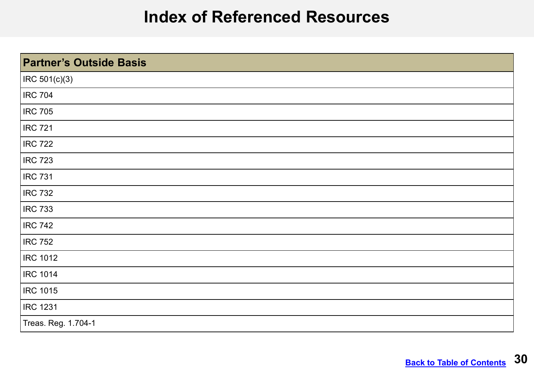### **Index of Referenced Resources**

<span id="page-29-0"></span>

| <b>Partner's Outside Basis</b> |
|--------------------------------|
| $ $ IRC 501(c)(3)              |
| <b>IRC 704</b>                 |
| <b>IRC 705</b>                 |
| <b>IRC 721</b>                 |
| <b>IRC 722</b>                 |
| <b>IRC 723</b>                 |
| <b>IRC 731</b>                 |
| <b>IRC 732</b>                 |
| <b>IRC 733</b>                 |
| <b>IRC 742</b>                 |
| <b>IRC 752</b>                 |
| <b>IRC 1012</b>                |
| <b>IRC 1014</b>                |
| <b>IRC 1015</b>                |
| <b>IRC 1231</b>                |
| Treas. Reg. 1.704-1            |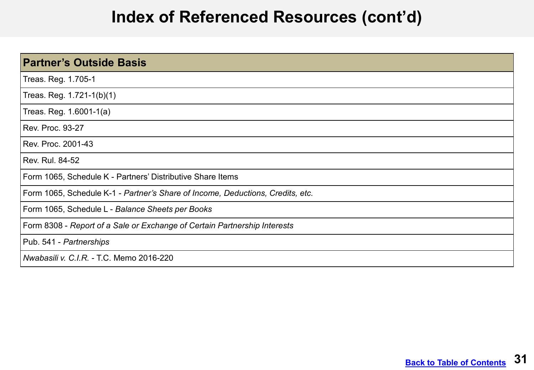### **Index of Referenced Resources (cont'd)**

| <b>Partner's Outside Basis</b>                                                 |
|--------------------------------------------------------------------------------|
| Treas. Reg. 1.705-1                                                            |
| Treas. Reg. 1.721-1(b)(1)                                                      |
| Treas. Reg. 1.6001-1(a)                                                        |
| <b>Rev. Proc. 93-27</b>                                                        |
| Rev. Proc. 2001-43                                                             |
| Rev. Rul. 84-52                                                                |
| Form 1065, Schedule K - Partners' Distributive Share Items                     |
| Form 1065, Schedule K-1 - Partner's Share of Income, Deductions, Credits, etc. |
| Form 1065, Schedule L - Balance Sheets per Books                               |
| Form 8308 - Report of a Sale or Exchange of Certain Partnership Interests      |
| Pub. 541 - Partnerships                                                        |
| Nwabasili v. C.I.R. - T.C. Memo 2016-220                                       |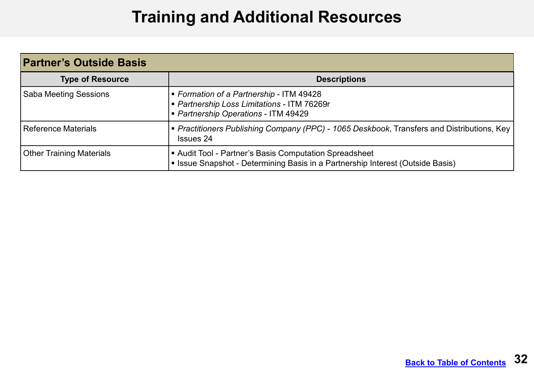## **Training and Additional Resources**

<span id="page-31-0"></span>

| <b>Partner's Outside Basis</b> |                                                                                                                                          |  |
|--------------------------------|------------------------------------------------------------------------------------------------------------------------------------------|--|
| <b>Type of Resource</b>        | <b>Descriptions</b>                                                                                                                      |  |
| <b>Saba Meeting Sessions</b>   | ■ Formation of a Partnership - ITM 49428<br>- Partnership Loss Limitations - ITM 76269r<br>Partnership Operations - ITM 49429            |  |
| Reference Materials            | • Practitioners Publishing Company (PPC) - 1065 Deskbook, Transfers and Distributions, Key<br><b>Issues 24</b>                           |  |
| Other Training Materials       | ■ Audit Tool - Partner's Basis Computation Spreadsheet<br>• Issue Snapshot - Determining Basis in a Partnership Interest (Outside Basis) |  |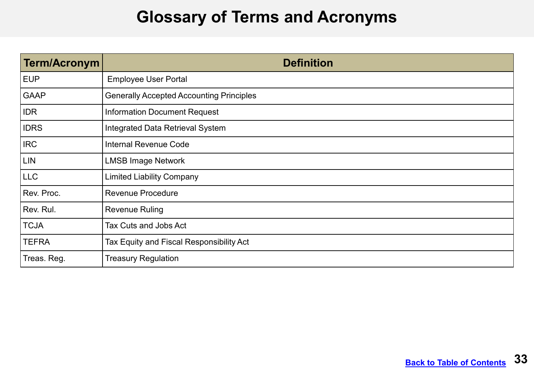### **Glossary of Terms and Acronyms**

<span id="page-32-0"></span>

| Term/Acronym | <b>Definition</b>                               |
|--------------|-------------------------------------------------|
| <b>EUP</b>   | <b>Employee User Portal</b>                     |
| <b>GAAP</b>  | <b>Generally Accepted Accounting Principles</b> |
| <b>IDR</b>   | <b>Information Document Request</b>             |
| <b>IDRS</b>  | Integrated Data Retrieval System                |
| <b>IRC</b>   | <b>Internal Revenue Code</b>                    |
| <b>LIN</b>   | <b>LMSB Image Network</b>                       |
| <b>LLC</b>   | <b>Limited Liability Company</b>                |
| Rev. Proc.   | <b>Revenue Procedure</b>                        |
| Rev. Rul.    | <b>Revenue Ruling</b>                           |
| <b>TCJA</b>  | Tax Cuts and Jobs Act                           |
| <b>TEFRA</b> | Tax Equity and Fiscal Responsibility Act        |
| Treas. Reg.  | <b>Treasury Regulation</b>                      |